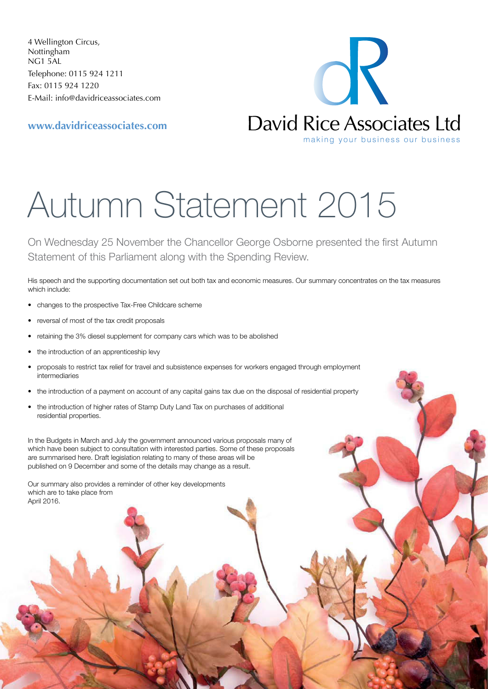4 Wellington Circus, Nottingham NG1 5AL Telephone: 0115 924 1211 Fax: 0115 924 1220 E-Mail: [info@davidriceassociates.com](mailto:info@davidriceassociates.com)

**<www.davidriceassociates.com>**

OK David Rice Associates Ltd making your business our business

# Autumn Statement 2015

On Wednesday 25 November the Chancellor George Osborne presented the first Autumn Statement of this Parliament along with the Spending Review.

His speech and the supporting documentation set out both tax and economic measures. Our summary concentrates on the tax measures which include:

- changes to the prospective Tax-Free Childcare scheme
- reversal of most of the tax credit proposals
- retaining the 3% diesel supplement for company cars which was to be abolished
- the introduction of an apprenticeship levy
- proposals to restrict tax relief for travel and subsistence expenses for workers engaged through employment intermediaries
- the introduction of a payment on account of any capital gains tax due on the disposal of residential property
- the introduction of higher rates of Stamp Duty Land Tax on purchases of additional residential properties.

In the Budgets in March and July the government announced various proposals many of which have been subject to consultation with interested parties. Some of these proposals are summarised here. Draft legislation relating to many of these areas will be published on 9 December and some of the details may change as a result.

Our summary also provides a reminder of other key developments which are to take place from April 2016.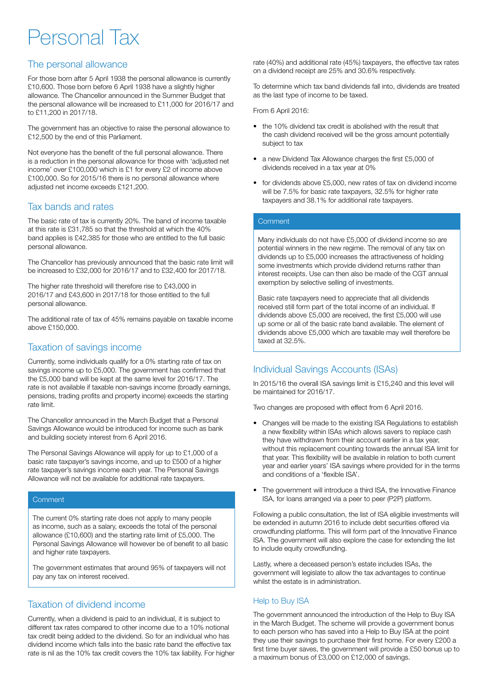# Personal Tax

# The personal allowance

For those born after 5 April 1938 the personal allowance is currently £10,600. Those born before 6 April 1938 have a slightly higher allowance. The Chancellor announced in the Summer Budget that the personal allowance will be increased to £11,000 for 2016/17 and to £11,200 in 2017/18.

The government has an objective to raise the personal allowance to £12,500 by the end of this Parliament.

Not everyone has the benefit of the full personal allowance. There is a reduction in the personal allowance for those with 'adjusted net income' over £100,000 which is £1 for every £2 of income above £100,000. So for 2015/16 there is no personal allowance where adjusted net income exceeds £121,200.

# Tax bands and rates

The basic rate of tax is currently 20%. The band of income taxable at this rate is £31,785 so that the threshold at which the 40% band applies is £42,385 for those who are entitled to the full basic personal allowance.

The Chancellor has previously announced that the basic rate limit will be increased to £32,000 for 2016/17 and to £32,400 for 2017/18.

The higher rate threshold will therefore rise to £43,000 in 2016/17 and £43,600 in 2017/18 for those entitled to the full personal allowance.

The additional rate of tax of 45% remains payable on taxable income above £150,000.

# Taxation of savings income

Currently, some individuals qualify for a 0% starting rate of tax on savings income up to £5,000. The government has confirmed that the £5,000 band will be kept at the same level for 2016/17. The rate is not available if taxable non-savings income (broadly earnings, pensions, trading profits and property income) exceeds the starting rate limit.

The Chancellor announced in the March Budget that a Personal Savings Allowance would be introduced for income such as bank and building society interest from 6 April 2016.

The Personal Savings Allowance will apply for up to £1,000 of a basic rate taxpayer's savings income, and up to £500 of a higher rate taxpayer's savings income each year. The Personal Savings Allowance will not be available for additional rate taxpayers.

#### **Comment**

The current 0% starting rate does not apply to many people as income, such as a salary, exceeds the total of the personal allowance (£10,600) and the starting rate limit of £5,000. The Personal Savings Allowance will however be of benefit to all basic and higher rate taxpayers.

The government estimates that around 95% of taxpayers will not pay any tax on interest received.

# Taxation of dividend income

Currently, when a dividend is paid to an individual, it is subject to different tax rates compared to other income due to a 10% notional tax credit being added to the dividend. So for an individual who has dividend income which falls into the basic rate band the effective tax rate is nil as the 10% tax credit covers the 10% tax liability. For higher rate (40%) and additional rate (45%) taxpayers, the effective tax rates on a dividend receipt are 25% and 30.6% respectively.

To determine which tax band dividends fall into, dividends are treated as the last type of income to be taxed.

From 6 April 2016:

- the 10% dividend tax credit is abolished with the result that the cash dividend received will be the gross amount potentially subject to tax
- a new Dividend Tax Allowance charges the first £5,000 of dividends received in a tax year at 0%
- for dividends above £5,000, new rates of tax on dividend income will be 7.5% for basic rate taxpayers, 32.5% for higher rate taxpayers and 38.1% for additional rate taxpayers.

#### **Comment**

Many individuals do not have £5,000 of dividend income so are potential winners in the new regime. The removal of any tax on dividends up to £5,000 increases the attractiveness of holding some investments which provide dividend returns rather than interest receipts. Use can then also be made of the CGT annual exemption by selective selling of investments.

Basic rate taxpayers need to appreciate that all dividends received still form part of the total income of an individual. If dividends above £5,000 are received, the first £5,000 will use up some or all of the basic rate band available. The element of dividends above £5,000 which are taxable may well therefore be taxed at 32.5%.

# Individual Savings Accounts (ISAs)

In 2015/16 the overall ISA savings limit is £15,240 and this level will be maintained for 2016/17.

Two changes are proposed with effect from 6 April 2016.

- Changes will be made to the existing ISA Regulations to establish a new flexibility within ISAs which allows savers to replace cash they have withdrawn from their account earlier in a tax year, without this replacement counting towards the annual ISA limit for that year. This flexibility will be available in relation to both current year and earlier years' ISA savings where provided for in the terms and conditions of a 'flexible ISA'.
- The government will introduce a third ISA, the Innovative Finance ISA, for loans arranged via a peer to peer (P2P) platform.

Following a public consultation, the list of ISA eligible investments will be extended in autumn 2016 to include debt securities offered via crowdfunding platforms. This will form part of the Innovative Finance ISA. The government will also explore the case for extending the list to include equity crowdfunding.

Lastly, where a deceased person's estate includes ISAs, the government will legislate to allow the tax advantages to continue whilst the estate is in administration.

#### Help to Buy ISA

The government announced the introduction of the Help to Buy ISA in the March Budget. The scheme will provide a government bonus to each person who has saved into a Help to Buy ISA at the point they use their savings to purchase their first home. For every £200 a first time buyer saves, the government will provide a £50 bonus up to a maximum bonus of £3,000 on £12,000 of savings.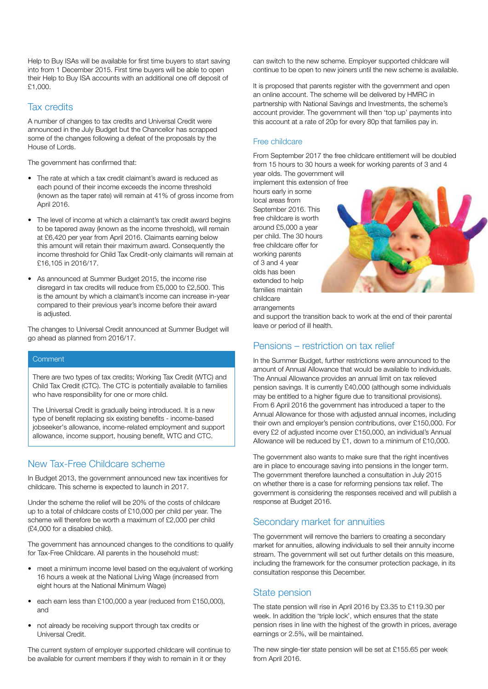Help to Buy ISAs will be available for first time buyers to start saving into from 1 December 2015. First time buyers will be able to open their Help to Buy ISA accounts with an additional one off deposit of £1,000.

#### Tax credits

A number of changes to tax credits and Universal Credit were announced in the July Budget but the Chancellor has scrapped some of the changes following a defeat of the proposals by the House of Lords.

The government has confirmed that:

- The rate at which a tax credit claimant's award is reduced as each pound of their income exceeds the income threshold (known as the taper rate) will remain at 41% of gross income from April 2016.
- The level of income at which a claimant's tax credit award begins to be tapered away (known as the income threshold), will remain at £6,420 per year from April 2016. Claimants earning below this amount will retain their maximum award. Consequently the income threshold for Child Tax Credit-only claimants will remain at £16,105 in 2016/17.
- As announced at Summer Budget 2015, the income rise disregard in tax credits will reduce from £5,000 to £2,500. This is the amount by which a claimant's income can increase in-year compared to their previous year's income before their award is adjusted.

The changes to Universal Credit announced at Summer Budget will go ahead as planned from 2016/17.

#### **Comment**

There are two types of tax credits; Working Tax Credit (WTC) and Child Tax Credit (CTC). The CTC is potentially available to families who have responsibility for one or more child.

The Universal Credit is gradually being introduced. It is a new type of benefit replacing six existing benefits - income-based jobseeker's allowance, income-related employment and support allowance, income support, housing benefit, WTC and CTC.

#### New Tax-Free Childcare scheme

In Budget 2013, the government announced new tax incentives for childcare. This scheme is expected to launch in 2017.

Under the scheme the relief will be 20% of the costs of childcare up to a total of childcare costs of £10,000 per child per year. The scheme will therefore be worth a maximum of £2,000 per child (£4,000 for a disabled child).

The government has announced changes to the conditions to qualify for Tax-Free Childcare. All parents in the household must:

- meet a minimum income level based on the equivalent of working 16 hours a week at the National Living Wage (increased from eight hours at the National Minimum Wage)
- each earn less than £100,000 a year (reduced from £150,000), and
- not already be receiving support through tax credits or Universal Credit.

The current system of employer supported childcare will continue to be available for current members if they wish to remain in it or they

can switch to the new scheme. Employer supported childcare will continue to be open to new joiners until the new scheme is available.

It is proposed that parents register with the government and open an online account. The scheme will be delivered by HMRC in partnership with National Savings and Investments, the scheme's account provider. The government will then 'top up' payments into this account at a rate of 20p for every 80p that families pay in.

#### Free childcare

From September 2017 the free childcare entitlement will be doubled from 15 hours to 30 hours a week for working parents of 3 and 4

year olds. The government will implement this extension of free hours early in some local areas from September 2016. This free childcare is worth around £5,000 a year per child. The 30 hours free childcare offer for working parents of 3 and 4 year olds has been extended to help families maintain childcare



arrangements

and support the transition back to work at the end of their parental leave or period of ill health.

# Pensions – restriction on tax relief

In the Summer Budget, further restrictions were announced to the amount of Annual Allowance that would be available to individuals. The Annual Allowance provides an annual limit on tax relieved pension savings. It is currently £40,000 (although some individuals may be entitled to a higher figure due to transitional provisions). From 6 April 2016 the government has introduced a taper to the Annual Allowance for those with adjusted annual incomes, including their own and employer's pension contributions, over £150,000. For every £2 of adjusted income over £150,000, an individual's Annual Allowance will be reduced by £1, down to a minimum of £10,000.

The government also wants to make sure that the right incentives are in place to encourage saving into pensions in the longer term. The government therefore launched a consultation in July 2015 on whether there is a case for reforming pensions tax relief. The government is considering the responses received and will publish a response at Budget 2016.

# Secondary market for annuities

The government will remove the barriers to creating a secondary market for annuities, allowing individuals to sell their annuity income stream. The government will set out further details on this measure, including the framework for the consumer protection package, in its consultation response this December.

#### State pension

The state pension will rise in April 2016 by £3.35 to £119.30 per week. In addition the 'triple lock', which ensures that the state pension rises in line with the highest of the growth in prices, average earnings or 2.5%, will be maintained.

The new single-tier state pension will be set at £155.65 per week from April 2016.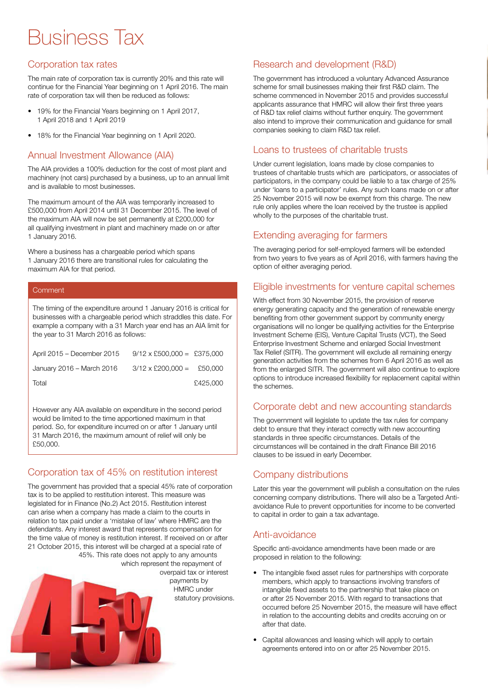# Business Tax

# Corporation tax rates

The main rate of corporation tax is currently 20% and this rate will continue for the Financial Year beginning on 1 April 2016. The main rate of corporation tax will then be reduced as follows:

- 19% for the Financial Years beginning on 1 April 2017, 1 April 2018 and 1 April 2019
- 18% for the Financial Year beginning on 1 April 2020.

# Annual Investment Allowance (AIA)

The AIA provides a 100% deduction for the cost of most plant and machinery (not cars) purchased by a business, up to an annual limit and is available to most businesses.

The maximum amount of the AIA was temporarily increased to £500,000 from April 2014 until 31 December 2015. The level of the maximum AIA will now be set permanently at £200,000 for all qualifying investment in plant and machinery made on or after 1 January 2016.

Where a business has a chargeable period which spans 1 January 2016 there are transitional rules for calculating the maximum AIA for that period.

#### **Comment**

The timing of the expenditure around 1 January 2016 is critical for businesses with a chargeable period which straddles this date. For example a company with a 31 March year end has an AIA limit for the year to 31 March 2016 as follows:

| April 2015 – December 2015 | $9/12 \times$ £500,000 = £375,000 |          |
|----------------------------|-----------------------------------|----------|
| January 2016 – March 2016  | $3/12 \times$ £200,000 = £50,000  |          |
| Total                      |                                   | £425,000 |

However any AIA available on expenditure in the second period would be limited to the time apportioned maximum in that period. So, for expenditure incurred on or after 1 January until 31 March 2016, the maximum amount of relief will only be £50,000.

# Corporation tax of 45% on restitution interest

The government has provided that a special 45% rate of corporation tax is to be applied to restitution interest. This measure was legislated for in Finance (No.2) Act 2015. Restitution interest can arise when a company has made a claim to the courts in relation to tax paid under a 'mistake of law' where HMRC are the defendants. Any interest award that represents compensation for the time value of money is restitution interest. If received on or after 21 October 2015, this interest will be charged at a special rate of 45%. This rate does not apply to any amounts which represent the repayment of

overpaid tax or interest payments by HMRC under statutory provisions.

# Research and development (R&D)

The government has introduced a voluntary Advanced Assurance scheme for small businesses making their first R&D claim. The scheme commenced in November 2015 and provides successful applicants assurance that HMRC will allow their first three years of R&D tax relief claims without further enquiry. The government also intend to improve their communication and guidance for small companies seeking to claim R&D tax relief.

### Loans to trustees of charitable trusts

Under current legislation, loans made by close companies to trustees of charitable trusts which are participators, or associates of participators, in the company could be liable to a tax charge of 25% under 'loans to a participator' rules. Any such loans made on or after 25 November 2015 will now be exempt from this charge. The new rule only applies where the loan received by the trustee is applied wholly to the purposes of the charitable trust.

# Extending averaging for farmers

The averaging period for self-employed farmers will be extended from two years to five years as of April 2016, with farmers having the option of either averaging period.

# Eligible investments for venture capital schemes

With effect from 30 November 2015, the provision of reserve energy generating capacity and the generation of renewable energy benefiting from other government support by community energy organisations will no longer be qualifying activities for the Enterprise Investment Scheme (EIS), Venture Capital Trusts (VCT), the Seed Enterprise Investment Scheme and enlarged Social Investment Tax Relief (SITR). The government will exclude all remaining energy generation activities from the schemes from 6 April 2016 as well as from the enlarged SITR. The government will also continue to explore options to introduce increased flexibility for replacement capital within the schemes.

# Corporate debt and new accounting standards

The government will legislate to update the tax rules for company debt to ensure that they interact correctly with new accounting standards in three specific circumstances. Details of the circumstances will be contained in the draft Finance Bill 2016 clauses to be issued in early December.

# Company distributions

Later this year the government will publish a consultation on the rules concerning company distributions. There will also be a Targeted Antiavoidance Rule to prevent opportunities for income to be converted to capital in order to gain a tax advantage.

# Anti-avoidance

Specific anti-avoidance amendments have been made or are proposed in relation to the following:

- The intangible fixed asset rules for partnerships with corporate members, which apply to transactions involving transfers of intangible fixed assets to the partnership that take place on or after 25 November 2015. With regard to transactions that occurred before 25 November 2015, the measure will have effect in relation to the accounting debits and credits accruing on or after that date.
- Capital allowances and leasing which will apply to certain agreements entered into on or after 25 November 2015.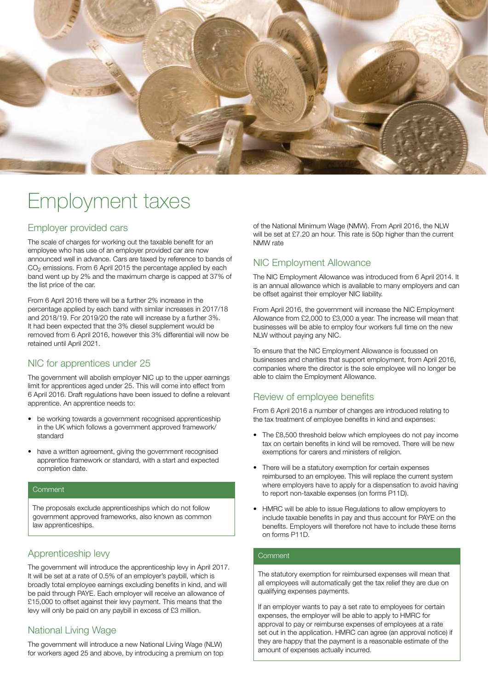

# Employment taxes

#### Employer provided cars

The scale of charges for working out the taxable benefit for an employee who has use of an employer provided car are now announced well in advance. Cars are taxed by reference to bands of  $CO<sub>2</sub>$  emissions. From 6 April 2015 the percentage applied by each band went up by 2% and the maximum charge is capped at 37% of the list price of the car.

From 6 April 2016 there will be a further 2% increase in the percentage applied by each band with similar increases in 2017/18 and 2018/19. For 2019/20 the rate will increase by a further 3%. It had been expected that the 3% diesel supplement would be removed from 6 April 2016, however this 3% differential will now be retained until April 2021.

#### NIC for apprentices under 25

The government will abolish employer NIC up to the upper earnings limit for apprentices aged under 25. This will come into effect from 6 April 2016. Draft regulations have been issued to define a relevant apprentice. An apprentice needs to:

- be working towards a government recognised apprenticeship in the UK which follows a government approved framework/ standard
- have a written agreement, giving the government recognised apprentice framework or standard, with a start and expected completion date.

#### Comment

The proposals exclude apprenticeships which do not follow government approved frameworks, also known as common law apprenticeships.

# Apprenticeship levy

The government will introduce the apprenticeship levy in April 2017. It will be set at a rate of 0.5% of an employer's paybill, which is broadly total employee earnings excluding benefits in kind, and will be paid through PAYE. Each employer will receive an allowance of £15,000 to offset against their levy payment. This means that the levy will only be paid on any paybill in excess of £3 million.

# National Living Wage

The government will introduce a new National Living Wage (NLW) for workers aged 25 and above, by introducing a premium on top of the National Minimum Wage (NMW). From April 2016, the NLW will be set at £7.20 an hour. This rate is 50p higher than the current NMW rate

# NIC Employment Allowance

The NIC Employment Allowance was introduced from 6 April 2014. It is an annual allowance which is available to many employers and can be offset against their employer NIC liability.

From April 2016, the government will increase the NIC Employment Allowance from £2,000 to £3,000 a year. The increase will mean that businesses will be able to employ four workers full time on the new NLW without paying any NIC.

To ensure that the NIC Employment Allowance is focussed on businesses and charities that support employment, from April 2016, companies where the director is the sole employee will no longer be able to claim the Employment Allowance.

#### Review of employee benefits

From 6 April 2016 a number of changes are introduced relating to the tax treatment of employee benefits in kind and expenses:

- The £8,500 threshold below which employees do not pay income tax on certain benefits in kind will be removed. There will be new exemptions for carers and ministers of religion.
- There will be a statutory exemption for certain expenses reimbursed to an employee. This will replace the current system where employers have to apply for a dispensation to avoid having to report non-taxable expenses (on forms P11D).
- HMRC will be able to issue Regulations to allow employers to include taxable benefits in pay and thus account for PAYE on the benefits. Employers will therefore not have to include these items on forms P11D.

#### **Comment**

The statutory exemption for reimbursed expenses will mean that all employees will automatically get the tax relief they are due on qualifying expenses payments.

If an employer wants to pay a set rate to employees for certain expenses, the employer will be able to apply to HMRC for approval to pay or reimburse expenses of employees at a rate set out in the application. HMRC can agree (an approval notice) if they are happy that the payment is a reasonable estimate of the amount of expenses actually incurred.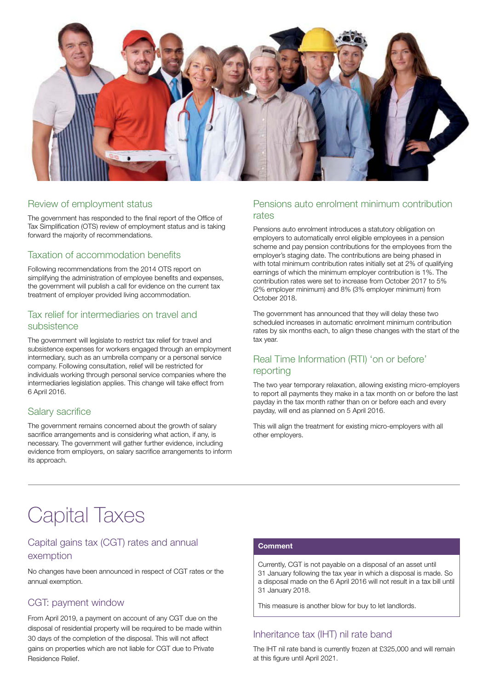

#### Review of employment status

The government has responded to the final report of the Office of Tax Simplification (OTS) review of employment status and is taking forward the majority of recommendations.

### Taxation of accommodation benefits

Following recommendations from the 2014 OTS report on simplifying the administration of employee benefits and expenses, the government will publish a call for evidence on the current tax treatment of employer provided living accommodation.

#### Tax relief for intermediaries on travel and subsistence

The government will legislate to restrict tax relief for travel and subsistence expenses for workers engaged through an employment intermediary, such as an umbrella company or a personal service company. Following consultation, relief will be restricted for individuals working through personal service companies where the intermediaries legislation applies. This change will take effect from 6 April 2016.

#### Salary sacrifice

The government remains concerned about the growth of salary sacrifice arrangements and is considering what action, if any, is necessary. The government will gather further evidence, including evidence from employers, on salary sacrifice arrangements to inform its approach.

#### Pensions auto enrolment minimum contribution rates

Pensions auto enrolment introduces a statutory obligation on employers to automatically enrol eligible employees in a pension scheme and pay pension contributions for the employees from the employer's staging date. The contributions are being phased in with total minimum contribution rates initially set at 2% of qualifying earnings of which the minimum employer contribution is 1%. The contribution rates were set to increase from October 2017 to 5% (2% employer minimum) and 8% (3% employer minimum) from October 2018.

The government has announced that they will delay these two scheduled increases in automatic enrolment minimum contribution rates by six months each, to align these changes with the start of the tax year.

### Real Time Information (RTI) 'on or before' reporting

The two year temporary relaxation, allowing existing micro-employers to report all payments they make in a tax month on or before the last payday in the tax month rather than on or before each and every payday, will end as planned on 5 April 2016.

This will align the treatment for existing micro-employers with all other employers.

# Capital Taxes

# Capital gains tax (CGT) rates and annual exemption

No changes have been announced in respect of CGT rates or the annual exemption.

# CGT: payment window

From April 2019, a payment on account of any CGT due on the disposal of residential property will be required to be made within 30 days of the completion of the disposal. This will not affect gains on properties which are not liable for CGT due to Private Residence Relief.

#### **Comment**

Currently, CGT is not payable on a disposal of an asset until 31 January following the tax year in which a disposal is made. So a disposal made on the 6 April 2016 will not result in a tax bill until 31 January 2018.

This measure is another blow for buy to let landlords.

# Inheritance tax (IHT) nil rate band

The IHT nil rate band is currently frozen at £325,000 and will remain at this figure until April 2021.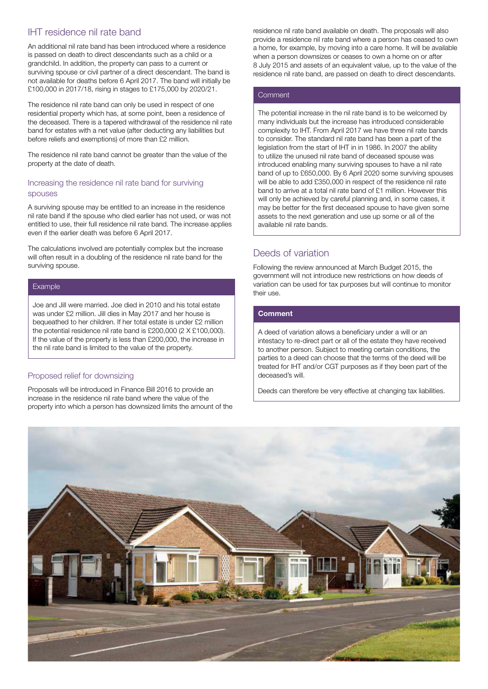# IHT residence nil rate band

An additional nil rate band has been introduced where a residence is passed on death to direct descendants such as a child or a grandchild. In addition, the property can pass to a current or surviving spouse or civil partner of a direct descendant. The band is not available for deaths before 6 April 2017. The band will initially be £100,000 in 2017/18, rising in stages to £175,000 by 2020/21.

The residence nil rate band can only be used in respect of one residential property which has, at some point, been a residence of the deceased. There is a tapered withdrawal of the residence nil rate band for estates with a net value (after deducting any liabilities but before reliefs and exemptions) of more than £2 million.

The residence nil rate band cannot be greater than the value of the property at the date of death.

#### Increasing the residence nil rate band for surviving spouses

A surviving spouse may be entitled to an increase in the residence nil rate band if the spouse who died earlier has not used, or was not entitled to use, their full residence nil rate band. The increase applies even if the earlier death was before 6 April 2017.

The calculations involved are potentially complex but the increase will often result in a doubling of the residence nil rate band for the surviving spouse.

#### **Example**

Joe and Jill were married. Joe died in 2010 and his total estate was under £2 million. Jill dies in May 2017 and her house is bequeathed to her children. If her total estate is under £2 million the potential residence nil rate band is £200,000 (2 X £100,000). If the value of the property is less than £200,000, the increase in the nil rate band is limited to the value of the property.

#### Proposed relief for downsizing

Proposals will be introduced in Finance Bill 2016 to provide an increase in the residence nil rate band where the value of the property into which a person has downsized limits the amount of the residence nil rate band available on death. The proposals will also provide a residence nil rate band where a person has ceased to own a home, for example, by moving into a care home. It will be available when a person downsizes or ceases to own a home on or after 8 July 2015 and assets of an equivalent value, up to the value of the residence nil rate band, are passed on death to direct descendants.

#### **Comment**

The potential increase in the nil rate band is to be welcomed by many individuals but the increase has introduced considerable complexity to IHT. From April 2017 we have three nil rate bands to consider. The standard nil rate band has been a part of the legislation from the start of IHT in in 1986. In 2007 the ability to utilize the unused nil rate band of deceased spouse was introduced enabling many surviving spouses to have a nil rate band of up to £650,000. By 6 April 2020 some surviving spouses will be able to add £350,000 in respect of the residence nil rate band to arrive at a total nil rate band of £1 million. However this will only be achieved by careful planning and, in some cases, it may be better for the first deceased spouse to have given some assets to the next generation and use up some or all of the available nil rate bands.

# Deeds of variation

Following the review announced at March Budget 2015, the government will not introduce new restrictions on how deeds of variation can be used for tax purposes but will continue to monitor their use.

#### **Comment**

A deed of variation allows a beneficiary under a will or an intestacy to re-direct part or all of the estate they have received to another person. Subject to meeting certain conditions, the parties to a deed can choose that the terms of the deed will be treated for IHT and/or CGT purposes as if they been part of the deceased's will.

Deeds can therefore be very effective at changing tax liabilities.